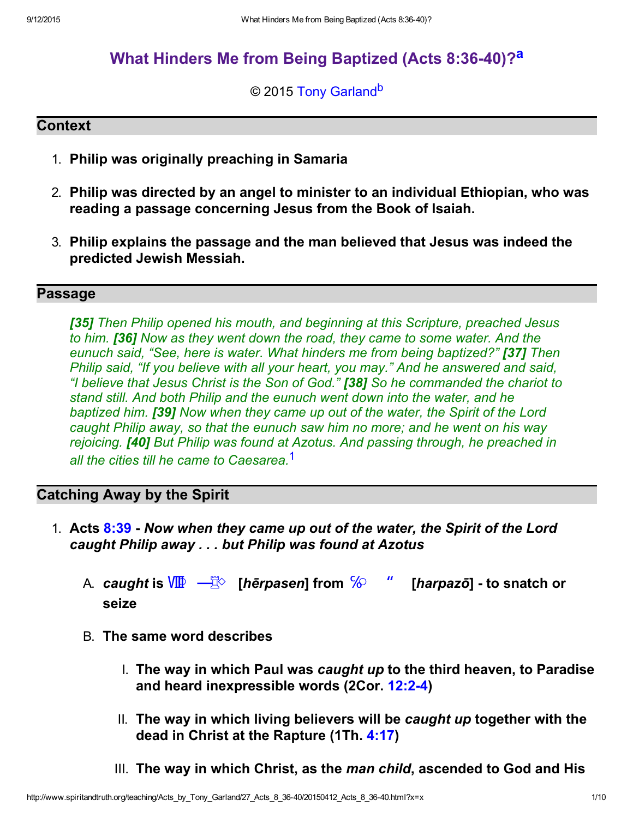# What Hinders Me from Being Baptized (Acts 8:36-40)?<sup>a</sup>

#### <span id="page-0-2"></span><span id="page-0-1"></span>© 2015 [Tony Garland](http://www.spiritandtruth.org/id/tg.htm)<sup>b</sup>

#### **Context**

- 1. Philip was originally preaching in Samaria
- 2. Philip was directed by an angel to minister to an individual Ethiopian, who was reading a passage concerning Jesus from the Book of Isaiah.
- 3. Philip explains the passage and the man believed that Jesus was indeed the predicted Jewish Messiah.

#### Passage

[35] Then Philip opened his mouth, and beginning at this Scripture, preached Jesus to him. **[36]** Now as they went down the road, they came to some water. And the eunuch said, "See, here is water. What hinders me from being baptized?" [37] Then Philip said, "If you believe with all your heart, you may." And he answered and said, "I believe that Jesus Christ is the Son of God." [38] So he commanded the chariot to stand still. And both Philip and the eunuch went down into the water, and he baptized him. **[39]** Now when they came up out of the water, the Spirit of the Lord caught Philip away, so that the eunuch saw him no more; and he went on his way rejoicing. **[40]** But Philip was found at Azotus. And passing through, he preached in all the cities till he came to Caesarea.<sup>1</sup>

## Catching Away by the Spirit

- <span id="page-0-0"></span>1. Acts [8:39](http://www.spiritandtruth.org/bibles/nasb/b44c008.htm#Acts_C8V39) - Now when they came up out of the water, the Spirit of the Lord caught Philip away . . . but Philip was found at Azotus
	- A. caught is  $\sqrt{m}$   $\frac{m}{2}$  [hērpasen] from  $\%$   $\degree$  [harpazō] to snatch or seize
	- B. The same word describes
		- I. The way in which Paul was caught up to the third heaven, to Paradise and heard inexpressible words (2Cor. [12:24\)](http://www.spiritandtruth.org/bibles/nasb/b47c012.htm#2Cor._C12V2)
		- II. The way in which living believers will be caught up together with the dead in Christ at the Rapture (1Th. [4:17\)](http://www.spiritandtruth.org/bibles/nasb/b52c004.htm#1Th._C4V17)
		- III. The way in which Christ, as the man child, ascended to God and His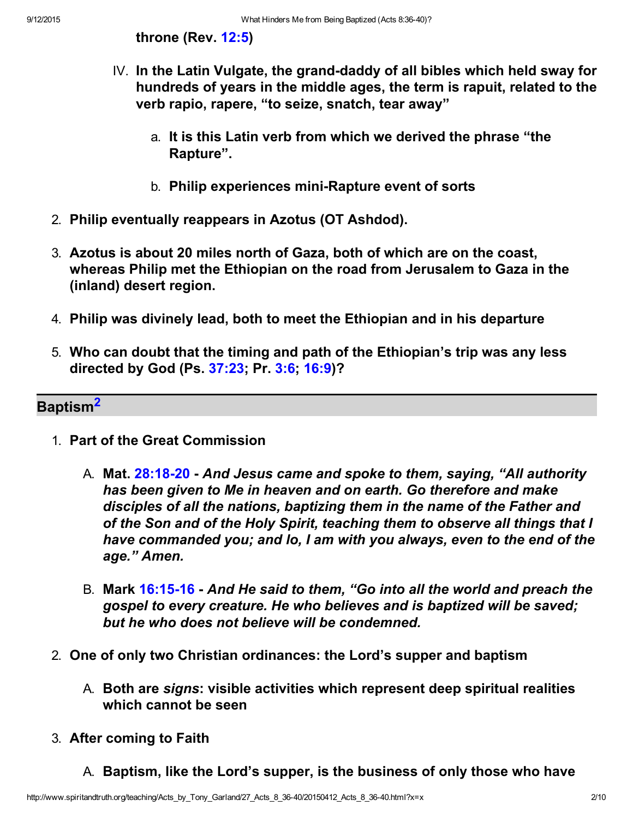throne (Rev. [12:5](http://www.spiritandtruth.org/bibles/nasb/b66c012.htm#Rev._C12V5))

- IV. In the Latin Vulgate, the grand-daddy of all bibles which held sway for hundreds of years in the middle ages, the term is rapuit, related to the verb rapio, rapere, "to seize, snatch, tear away"
	- a. It is this Latin verb from which we derived the phrase "the Rapture".
	- b. Philip experiences mini-Rapture event of sorts
- 2. Philip eventually reappears in Azotus (OT Ashdod).
- 3. Azotus is about 20 miles north of Gaza, both of which are on the coast, whereas Philip met the Ethiopian on the road from Jerusalem to Gaza in the (inland) desert region.
- 4. Philip was divinely lead, both to meet the Ethiopian and in his departure
- 5. Who can doubt that the timing and path of the Ethiopian's trip was any less directed by God (Ps. [37:23](http://www.spiritandtruth.org/bibles/nasb/b19c037.htm#Ps._C37V23); Pr. [3:6](http://www.spiritandtruth.org/bibles/nasb/b20c003.htm#Pr._C3V6); [16:9\)](http://www.spiritandtruth.org/bibles/nasb/b20c016.htm#Pr._C16V9)?

#### Baptism<sup>2</sup>

- 1. Part of the Great Commission
	- A. Mat. 28:18-20 And Jesus came and spoke to them, saying, "All authority has been given to Me in heaven and on earth. Go therefore and make disciples of all the nations, baptizing them in the name of the Father and of the Son and of the Holy Spirit, teaching them to observe all things that I have commanded you; and lo, I am with you always, even to the end of the age." Amen.
	- B. Mark 16:15-16 And He said to them, "Go into all the world and preach the gospel to every creature. He who believes and is baptized will be saved; but he who does not believe will be condemned.
- 2. One of only two Christian ordinances: the Lord's supper and baptism
	- A. Both are signs: visible activities which represent deep spiritual realities which cannot be seen
- 3. After coming to Faith
	- A. Baptism, like the Lord's supper, is the business of only those who have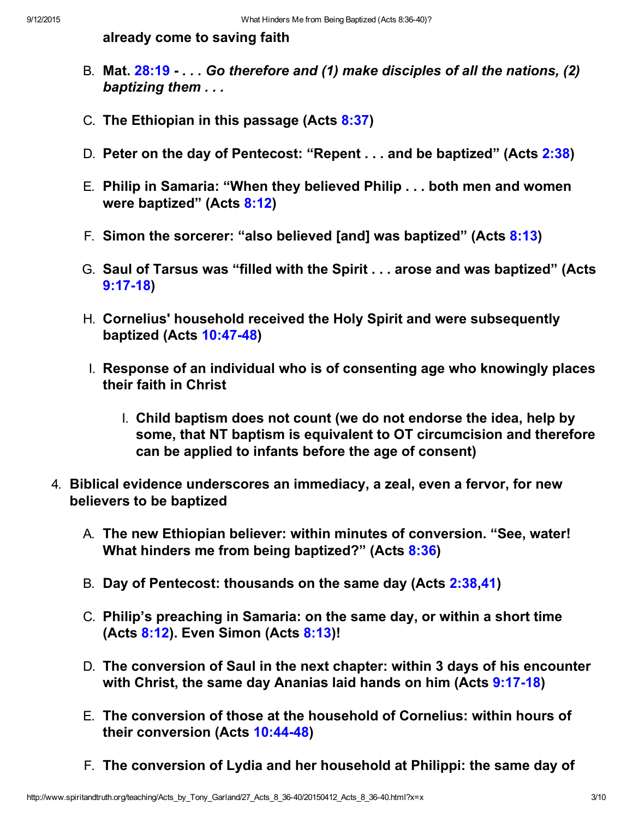already come to saving faith

- B. Mat. [28:19](http://www.spiritandtruth.org/bibles/nasb/b40c028.htm#Mat._C28V19) . . . Go therefore and (1) make disciples of all the nations, (2) baptizing them . . .
- C. The Ethiopian in this passage (Acts [8:37](http://www.spiritandtruth.org/bibles/nasb/b44c008.htm#Acts_C8V37))
- D. Peter on the day of Pentecost: "Repent . . . and be baptized" (Acts [2:38](http://www.spiritandtruth.org/bibles/nasb/b44c002.htm#Acts_C2V38))
- E. Philip in Samaria: "When they believed Philip . . . both men and women were baptized" (Acts [8:12](http://www.spiritandtruth.org/bibles/nasb/b44c008.htm#Acts_C8V12))
- F. Simon the sorcerer: "also believed [and] was baptized" (Acts [8:13](http://www.spiritandtruth.org/bibles/nasb/b44c008.htm#Acts_C8V13))
- G. Saul of Tarsus was "filled with the Spirit . . . arose and was baptized" (Acts  $9:17-18$
- H. Cornelius' household received the Holy Spirit and were subsequently baptized (Acts 10:47-48)
- I. Response of an individual who is of consenting age who knowingly places their faith in Christ
	- I. Child baptism does not count (we do not endorse the idea, help by some, that NT baptism is equivalent to OT circumcision and therefore can be applied to infants before the age of consent)
- 4. Biblical evidence underscores an immediacy, a zeal, even a fervor, for new believers to be baptized
	- A. The new Ethiopian believer: within minutes of conversion. "See, water! What hinders me from being baptized?" (Acts [8:36](http://www.spiritandtruth.org/bibles/nasb/b44c008.htm#Acts_C8V36))
	- B. Day of Pentecost: thousands on the same day (Acts [2:38](http://www.spiritandtruth.org/bibles/nasb/b44c002.htm#Acts_C2V38)[,41\)](http://www.spiritandtruth.org/bibles/nasb/b44c002.htm#Acts_C2V41)
	- C. Philip's preaching in Samaria: on the same day, or within a short time (Acts [8:12\)](http://www.spiritandtruth.org/bibles/nasb/b44c008.htm#Acts_C8V12). Even Simon (Acts [8:13\)](http://www.spiritandtruth.org/bibles/nasb/b44c008.htm#Acts_C8V13)!
	- D. The conversion of Saul in the next chapter: within 3 days of his encounter with Christ, the same day Ananias laid hands on him (Acts 9:17-18)
	- E. The conversion of those at the household of Cornelius: within hours of their conversion (Acts 10:44-48)
	- F. The conversion of Lydia and her household at Philippi: the same day of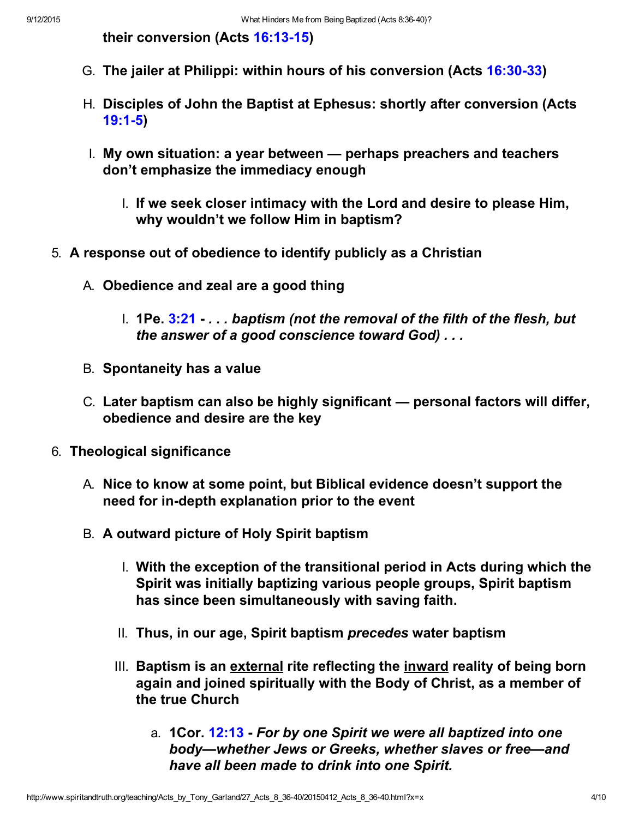their conversion (Acts 16:13-15)

- G. The jailer at Philippi: within hours of his conversion (Acts 16:30-33)
- H. Disciples of John the Baptist at Ephesus: shortly after conversion (Acts [19:15\)](http://www.spiritandtruth.org/bibles/nasb/b44c019.htm#Acts_C19V1)
- I. My own situation: a year between perhaps preachers and teachers don't emphasize the immediacy enough
	- I. If we seek closer intimacy with the Lord and desire to please Him, why wouldn't we follow Him in baptism?
- 5. A response out of obedience to identify publicly as a Christian
	- A. Obedience and zeal are a good thing
		- 1. **1Pe.**  $3:21...$  baptism (not the removal of the filth of the flesh, but the answer of a good conscience toward God) . . .
	- B. Spontaneity has a value
	- C. Later baptism can also be highly significant personal factors will differ, obedience and desire are the key
- 6. Theological significance
	- A. Nice to know at some point, but Biblical evidence doesn't support the need for in-depth explanation prior to the event
	- B. A outward picture of Holy Spirit baptism
		- I. With the exception of the transitional period in Acts during which the Spirit was initially baptizing various people groups, Spirit baptism has since been simultaneously with saving faith.
		- II. Thus, in our age, Spirit baptism precedes water baptism
		- III. Baptism is an external rite reflecting the inward reality of being born again and joined spiritually with the Body of Christ, as a member of the true Church
			- a. **1Cor. [12:13](http://www.spiritandtruth.org/bibles/nasb/b46c012.htm#1Cor._C12V13) For by one Spirit we were all baptized into one** body—whether Jews or Greeks, whether slaves or free—and have all been made to drink into one Spirit.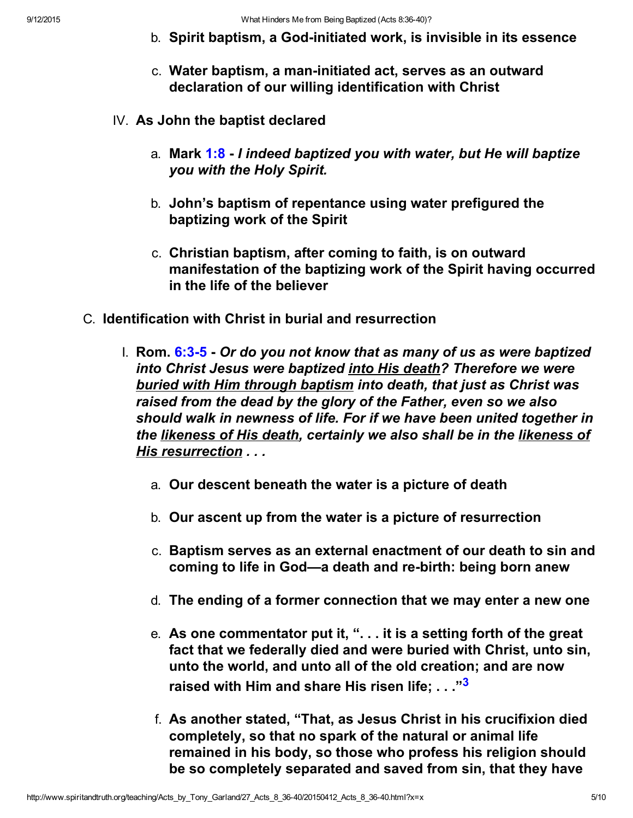- b. Spirit baptism, a God-initiated work, is invisible in its essence
- c. Water baptism, a man-initiated act, serves as an outward declaration of our willing identification with Christ
- IV. As John the baptist declared
	- a. Mark  $1:8$  I indeed baptized you with water, but He will baptize you with the Holy Spirit.
	- b. John's baptism of repentance using water prefigured the baptizing work of the Spirit
	- c. Christian baptism, after coming to faith, is on outward manifestation of the baptizing work of the Spirit having occurred in the life of the believer
- C. Identification with Christ in burial and resurrection
	- I. Rom.  $6:3-5$  Or do you not know that as many of us as were baptized into Christ Jesus were baptized into His death? Therefore we were buried with Him through baptism into death, that just as Christ was raised from the dead by the glory of the Father, even so we also should walk in newness of life. For if we have been united together in the likeness of His death, certainly we also shall be in the likeness of His resurrection . . .
		- a. Our descent beneath the water is a picture of death
		- b. Our ascent up from the water is a picture of resurrection
		- c. Baptism serves as an external enactment of our death to sin and coming to life in God—a death and re-birth: being born anew
		- d. The ending of a former connection that we may enter a new one
		- e. As one commentator put it, ". . . it is a setting forth of the great fact that we federally died and were buried with Christ, unto sin, unto the world, and unto all of the old creation; and are now raised with Him and share His risen life: . . . "3
		- f. As another stated, "That, as Jesus Christ in his crucifixion died completely, so that no spark of the natural or animal life remained in his body, so those who profess his religion should be so completely separated and saved from sin, that they have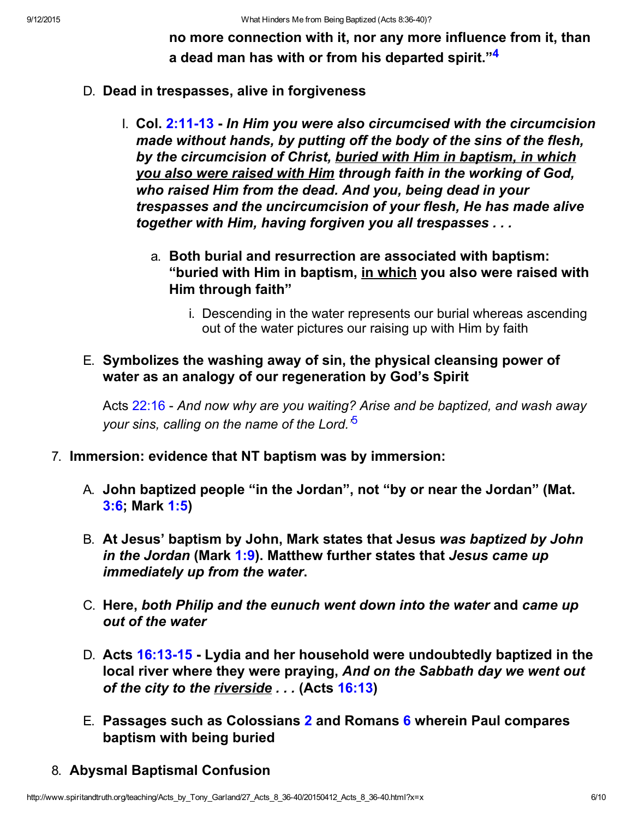no more connection with it, nor any more influence from it, than a dead man has with or from his departed spirit."<sup>4</sup>

#### D. Dead in trespasses, alive in forgiveness

- $I.$  Col. 2:11-13 In Him you were also circumcised with the circumcision made without hands, by putting off the body of the sins of the flesh, by the circumcision of Christ, buried with Him in baptism, in which you also were raised with Him through faith in the working of God, who raised Him from the dead. And you, being dead in your trespasses and the uncircumcision of your flesh, He has made alive together with Him, having forgiven you all trespasses . . .
	- a. Both burial and resurrection are associated with baptism: "buried with Him in baptism, in which you also were raised with Him through faith"
		- i. Descending in the water represents our burial whereas ascending out of the water pictures our raising up with Him by faith

### E. Symbolizes the washing away of sin, the physical cleansing power of water as an analogy of our regeneration by God's Spirit

Acts [22:16](http://www.spiritandtruth.org/bibles/nasb/b44c022.htm#Acts_C22V16) - And now why are you waiting? Arise and be baptized, and wash away your sins, calling on the name of the Lord.<sup>5</sup>

- 7. Immersion: evidence that NT baptism was by immersion:
	- A. John baptized people "in the Jordan", not "by or near the Jordan" (Mat. [3:6;](http://www.spiritandtruth.org/bibles/nasb/b40c003.htm#Mat._C3V6) Mark [1:5\)](http://www.spiritandtruth.org/bibles/nasb/b41c001.htm#Mark_C1V5)
	- B. At Jesus' baptism by John, Mark states that Jesus was baptized by John in the Jordan (Mark  $1:9$ ). Matthew further states that Jesus came up immediately up from the water.
	- C. Here, both Philip and the eunuch went down into the water and came up out of the water
	- D. Acts 16:13-15 Lydia and her household were undoubtedly baptized in the local river where they were praying, And on the Sabbath day we went out of the city to the riverside . . . (Acts [16:13\)](http://www.spiritandtruth.org/bibles/nasb/b44c016.htm#Acts_C16V13)
	- E. Passages such as Colossians [2](http://www.spiritandtruth.org/bibles/nasb/b51c002.htm#Col._C2V1) and Romans [6](http://www.spiritandtruth.org/bibles/nasb/b45c006.htm#Rom._C6V1) wherein Paul compares baptism with being buried

### 8. Abysmal Baptismal Confusion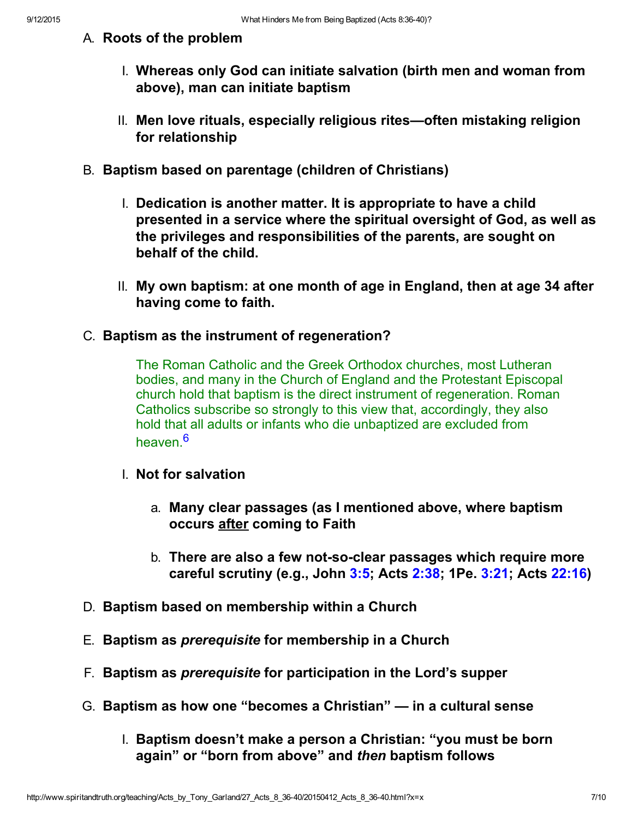#### A. Roots of the problem

- I. Whereas only God can initiate salvation (birth men and woman from above), man can initiate baptism
- II. Men love rituals, especially religious rites—often mistaking religion for relationship
- B. Baptism based on parentage (children of Christians)
	- I. Dedication is another matter. It is appropriate to have a child presented in a service where the spiritual oversight of God, as well as the privileges and responsibilities of the parents, are sought on behalf of the child.
	- II. My own baptism: at one month of age in England, then at age 34 after having come to faith.
- C. Baptism as the instrument of regeneration?

The Roman Catholic and the Greek Orthodox churches, most Lutheran bodies, and many in the Church of England and the Protestant Episcopal church hold that baptism is the direct instrument of regeneration. Roman Catholics subscribe so strongly to this view that, accordingly, they also hold that all adults or infants who die unbaptized are excluded from heaven <sup>6</sup>

- I. Not for salvation
	- a. Many clear passages (as I mentioned above, where baptism occurs after coming to Faith
	- b. There are also a few not-so-clear passages which require more careful scrutiny (e.g., John [3:5;](http://www.spiritandtruth.org/bibles/nasb/b43c003.htm#John_C3V5) Acts [2:38](http://www.spiritandtruth.org/bibles/nasb/b44c002.htm#Acts_C2V38); 1Pe. [3:21;](http://www.spiritandtruth.org/bibles/nasb/b60c003.htm#1Pe._C3V21) Acts [22:16\)](http://www.spiritandtruth.org/bibles/nasb/b44c022.htm#Acts_C22V16)
- D. Baptism based on membership within a Church
- E. Baptism as prerequisite for membership in a Church
- F. Baptism as prerequisite for participation in the Lord's supper
- G. Baptism as how one "becomes a Christian" in a cultural sense
	- I. Baptism doesn't make a person a Christian: "you must be born again" or "born from above" and then baptism follows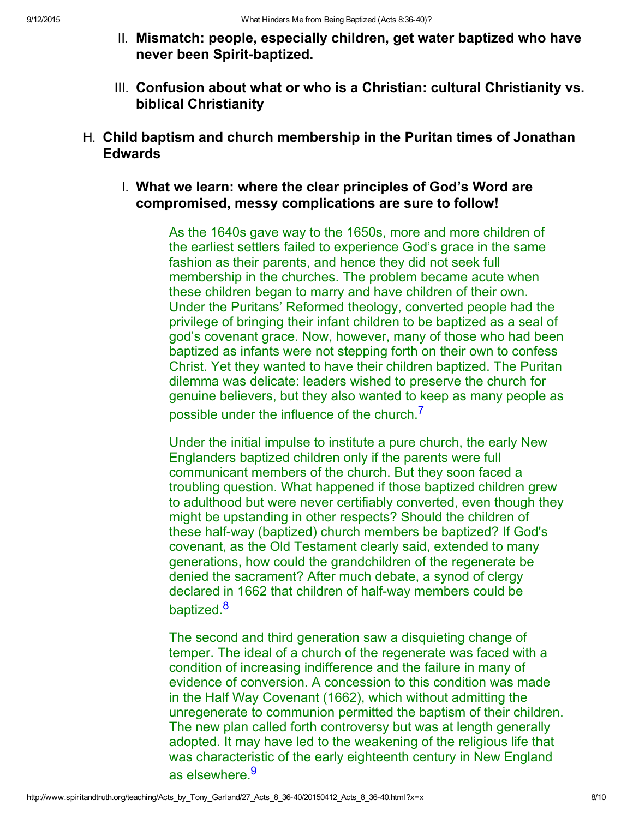- II. Mismatch: people, especially children, get water baptized who have never been Spirit-baptized.
- III. Confusion about what or who is a Christian: cultural Christianity vs. biblical Christianity
- H. Child baptism and church membership in the Puritan times of Jonathan **Edwards** 
	- I. What we learn: where the clear principles of God's Word are compromised, messy complications are sure to follow!

As the 1640s gave way to the 1650s, more and more children of the earliest settlers failed to experience God's grace in the same fashion as their parents, and hence they did not seek full membership in the churches. The problem became acute when these children began to marry and have children of their own. Under the Puritans' Reformed theology, converted people had the privilege of bringing their infant children to be baptized as a seal of god's covenant grace. Now, however, many of those who had been baptized as infants were not stepping forth on their own to confess Christ. Yet they wanted to have their children baptized. The Puritan dilemma was delicate: leaders wished to preserve the church for genuine believers, but they also wanted to keep as many people as possible under the influence of the church.<sup>7</sup>

Under the initial impulse to institute a pure church, the early New Englanders baptized children only if the parents were full communicant members of the church. But they soon faced a troubling question. What happened if those baptized children grew to adulthood but were never certifiably converted, even though they might be upstanding in other respects? Should the children of these half-way (baptized) church members be baptized? If God's covenant, as the Old Testament clearly said, extended to many generations, how could the grandchildren of the regenerate be denied the sacrament? After much debate, a synod of clergy declared in 1662 that children of half-way members could be baptized.<sup>8</sup>

The second and third generation saw a disquieting change of temper. The ideal of a church of the regenerate was faced with a condition of increasing indifference and the failure in many of evidence of conversion. A concession to this condition was made in the Half Way Covenant (1662), which without admitting the unregenerate to communion permitted the baptism of their children. The new plan called forth controversy but was at length generally adopted. It may have led to the weakening of the religious life that was characteristic of the early eighteenth century in New England as elsewhere.<sup>9</sup>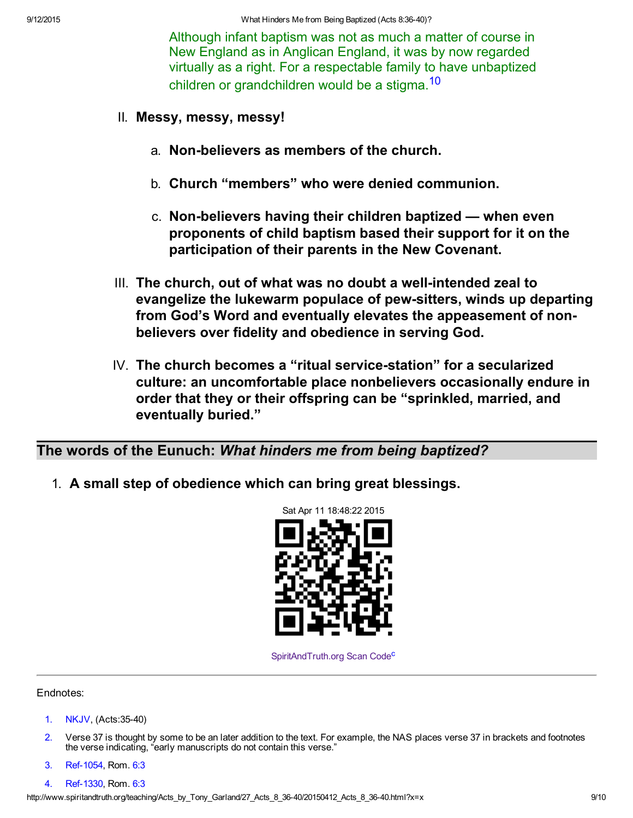Although infant baptism was not as much a matter of course in New England as in Anglican England, it was by now regarded virtually as a right. For a respectable family to have unbaptized children or grandchildren would be a stigma.<sup>10</sup>

- II. Messy, messy, messy!
	- a. Non-believers as members of the church.
	- b. Church "members" who were denied communion.
	- $c.$  Non-believers having their children baptized when even proponents of child baptism based their support for it on the participation of their parents in the New Covenant.
- III. The church, out of what was no doubt a well-intended zeal to evangelize the lukewarm populace of pew-sitters, winds up departing from God's Word and eventually elevates the appeasement of nonbelievers over fidelity and obedience in serving God.
- $IV.$  The church becomes a "ritual service-station" for a secularized culture: an uncomfortable place nonbelievers occasionally endure in order that they or their offspring can be "sprinkled, married, and eventually buried."

The words of the Eunuch: What hinders me from being baptized?

1. A small step of obedience which can bring great blessings.



[SpiritAndTruth.org Scan Code](http://www.spiritandtruth.org/)<sup>c</sup>

#### Endnotes:

- [1.](#page-0-0) NKJV, (Acts:3540)
- 2. Verse 37 is thought by some to be an later addition to the text. For example, the NAS places verse 37 in brackets and footnotes the verse indicating, "early manuscripts do not contain this verse."
- 3. Ref-1054, Rom. [6:3](http://www.spiritandtruth.org/bibles/nasb/b45c006.htm#Rom._C6V3)
- 4. Ref-1330, Rom. [6:3](http://www.spiritandtruth.org/bibles/nasb/b45c006.htm#Rom._C6V3)

http://www.spiritandtruth.org/teaching/Acts\_by\_Tony\_Garland/27\_Acts\_8\_3640/20150412\_Acts\_8\_3640.html?x=x 9/10